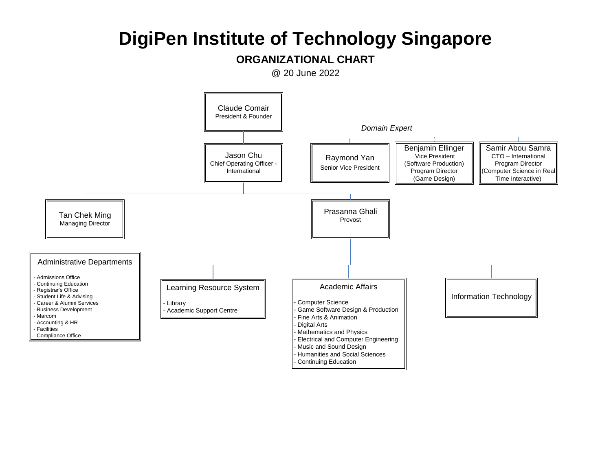#### **ORGANIZATIONAL CHART**

@ 20 June 2022

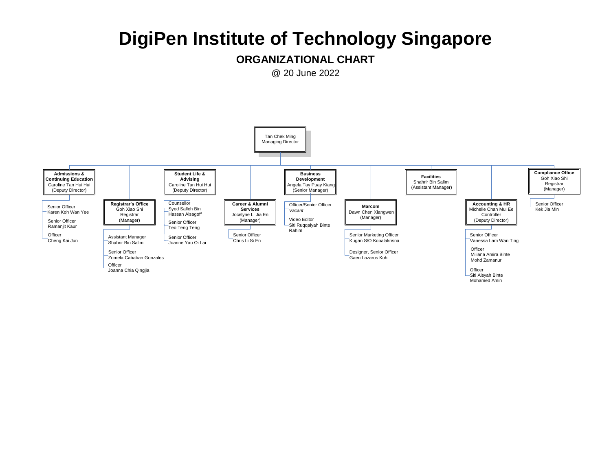#### **ORGANIZATIONAL CHART**

@ 20 June 2022

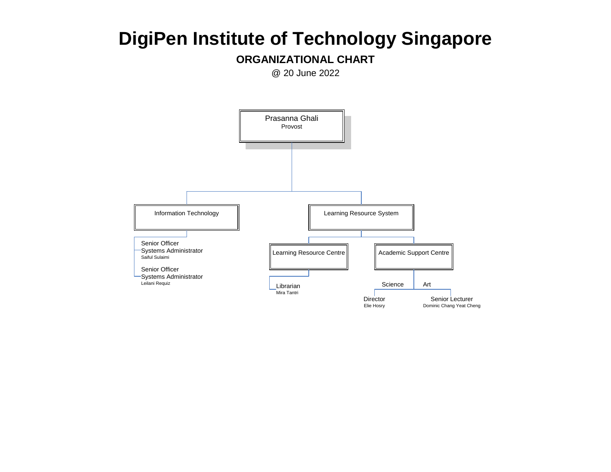### **ORGANIZATIONAL CHART**

@ 20 June 2022